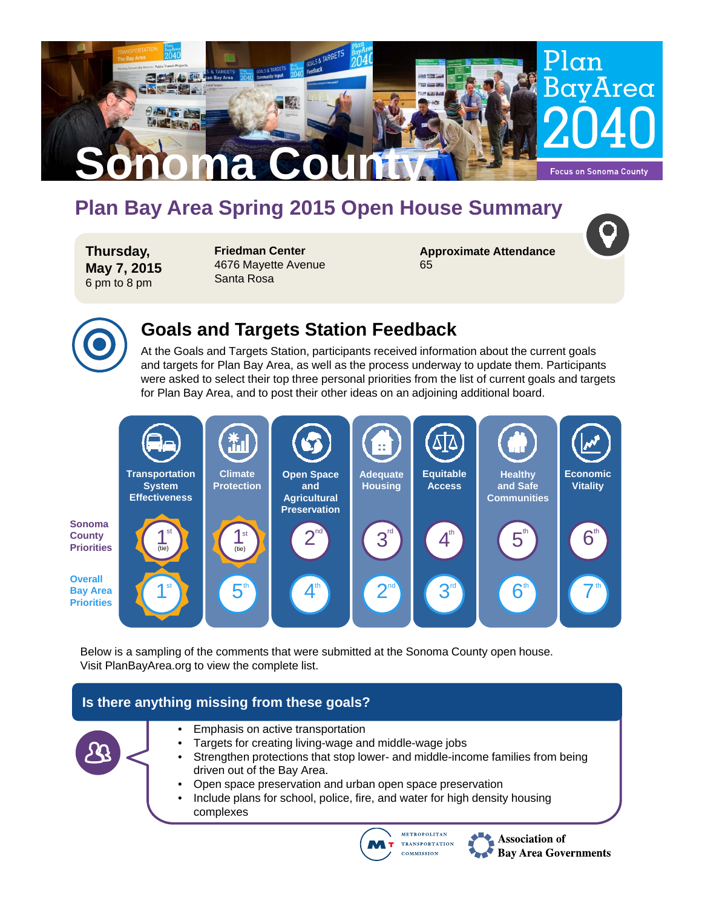

# **Plan Bay Area Spring 2015 Open House Summary**

**Thursday, May 7, 2015** 6 pm to 8 pm

**Friedman Center** 4676 Mayette Avenue Santa Rosa

**Approximate Attendance** 65



# **Goals and Targets Station Feedback**

At the Goals and Targets Station, participants received information about the current goals and targets for Plan Bay Area, as well as the process underway to update them. Participants were asked to select their top three personal priorities from the list of current goals and targets for Plan Bay Area, and to post their other ideas on an adjoining additional board.



Below is a sampling of the comments that were submitted at the Sonoma County open house. Visit PlanBayArea.org to view the complete list.

### **Is there anything missing from these goals?**





Association of **Bay Area Governments**